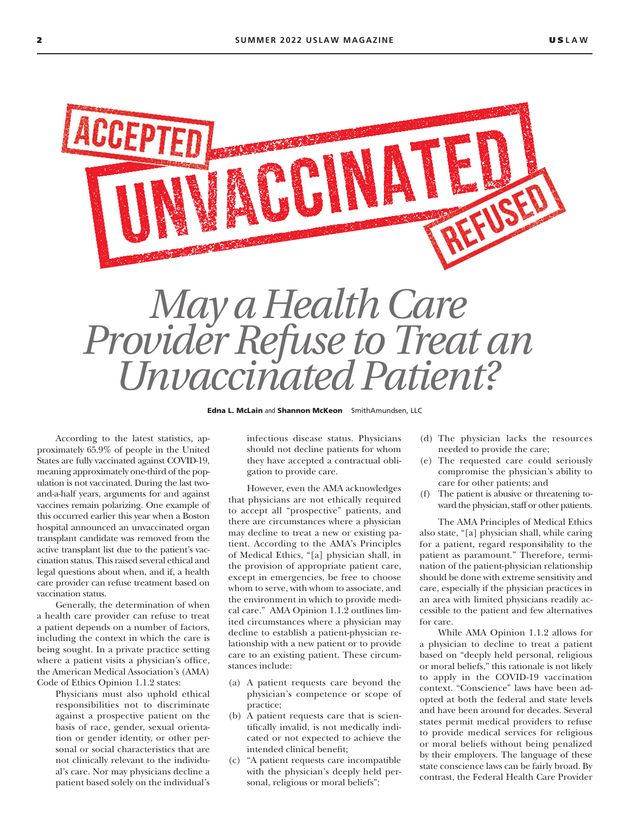

Edna L. McLain and Shannon McKeon SmithAmundsen, LLC

According to the latest statistics, approximately 65.9% of people in the United States are fully vaccinated against COVID-19, meaning approximately one-third of the population is not vaccinated. During the last twoand-a-half years, arguments for and against vaccines remain polarizing. One example of this occurred earlier this year when a Boston hospital announced an unvaccinated organ transplant candidate was removed from the active transplant list due to the patient's vaccination status. This raised several ethical and legal questions about when, and if, a health care provider can refuse treatment based on vaccination status.

Generally, the determination of when a health care provider can refuse to treat a patient depends on a number of factors, including the context in which the care is being sought. In a private practice setting where a patient visits a physician's office, the American Medical Association's (AMA) Code of Ethics Opinion 1.1.2 states:

Physicians must also uphold ethical responsibilities not to discriminate against a prospective patient on the basis of race, gender, sexual orientation or gender identity, or other personal or social characteristics that are not clinically relevant to the individual's care. Nor may physicians decline a patient based solely on the individual's infectious disease status. Physicians should not decline patients for whom they have accepted a contractual obligation to provide care.

However, even the AMA acknowledges that physicians are not ethically required to accept all "prospective" patients, and there are circumstances where a physician may decline to treat a new or existing patient. According to the AMA's Principles of Medical Ethics, "[a] physician shall, in the provision of appropriate patient care, except in emergencies, be free to choose whom to serve, with whom to associate, and the environment in which to provide medical care." AMA Opinion 1.1.2 outlines limited circumstances where a physician may decline to establish a patient-physician relationship with a new patient or to provide care to an existing patient. These circumstances include:

- (a) A patient requests care beyond the physician's competence or scope of practice;
- (b) A patient requests care that is scientifically invalid, is not medically indicated or not expected to achieve the intended clinical benefit;
- (c) "A patient requests care incompatible with the physician's deeply held personal, religious or moral beliefs";
- (d) The physician lacks the resources needed to provide the care;
- (e) The requested care could seriously compromise the physician's ability to care for other patients; and
- (f) The patient is abusive or threatening toward the physician, staff or other patients.

The AMA Principles of Medical Ethics also state, "[a] physician shall, while caring for a patient, regard responsibility to the patient as paramount." Therefore, termination of the patient-physician relationship should be done with extreme sensitivity and care, especially if the physician practices in an area with limited physicians readily accessible to the patient and few alternatives for care.

While AMA Opinion 1.1.2 allows for a physician to decline to treat a patient based on "deeply held personal, religious or moral beliefs," this rationale is not likely to apply in the COVID-19 vaccination context. "Conscience" laws have been adopted at both the federal and state levels and have been around for decades. Several states permit medical providers to refuse to provide medical services for religious or moral beliefs without being penalized by their employers. The language of these state conscience laws can be fairly broad. By contrast, the Federal Health Care Provider